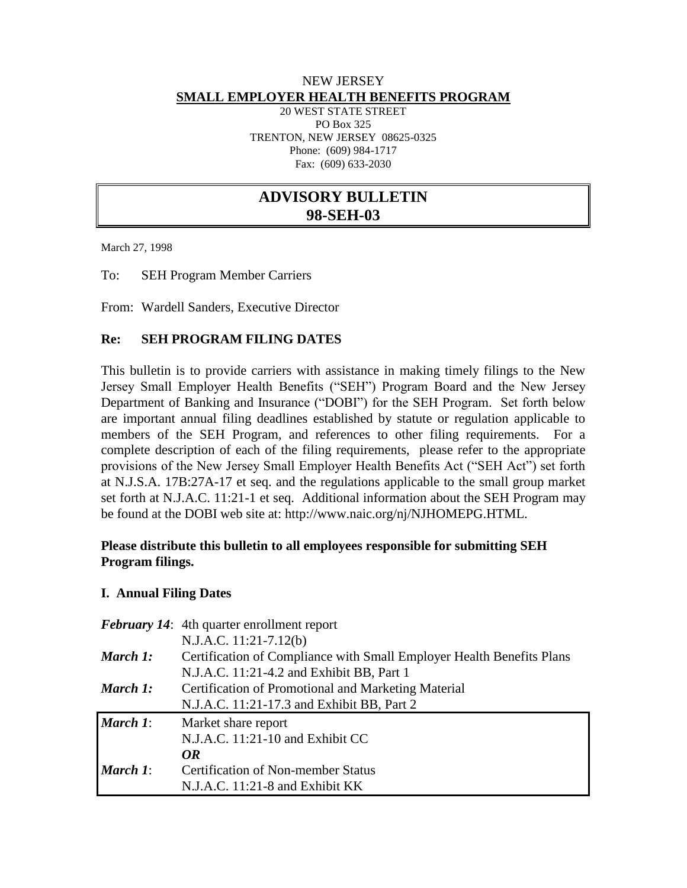### NEW JERSEY **SMALL EMPLOYER HEALTH BENEFITS PROGRAM**

20 WEST STATE STREET PO Box 325 TRENTON, NEW JERSEY 08625-0325 Phone: (609) 984-1717 Fax: (609) 633-2030

# **ADVISORY BULLETIN 98-SEH-03**

March 27, 1998

To: SEH Program Member Carriers

From: Wardell Sanders, Executive Director

#### **Re: SEH PROGRAM FILING DATES**

This bulletin is to provide carriers with assistance in making timely filings to the New Jersey Small Employer Health Benefits ("SEH") Program Board and the New Jersey Department of Banking and Insurance ("DOBI") for the SEH Program. Set forth below are important annual filing deadlines established by statute or regulation applicable to members of the SEH Program, and references to other filing requirements. For a complete description of each of the filing requirements, please refer to the appropriate provisions of the New Jersey Small Employer Health Benefits Act ("SEH Act") set forth at N.J.S.A. 17B:27A-17 et seq. and the regulations applicable to the small group market set forth at N.J.A.C. 11:21-1 et seq. Additional information about the SEH Program may be found at the DOBI web site at: http://www.naic.org/nj/NJHOMEPG.HTML.

#### **Please distribute this bulletin to all employees responsible for submitting SEH Program filings.**

#### **I. Annual Filing Dates**

|                 | <b>February 14:</b> 4th quarter enrollment report<br>N.J.A.C. 11:21-7.12(b)                                        |
|-----------------|--------------------------------------------------------------------------------------------------------------------|
| March 1:        | Certification of Compliance with Small Employer Health Benefits Plans<br>N.J.A.C. 11:21-4.2 and Exhibit BB, Part 1 |
| March 1:        | Certification of Promotional and Marketing Material<br>N.J.A.C. 11:21-17.3 and Exhibit BB, Part 2                  |
| <b>March</b> 1: | Market share report<br>N.J.A.C. 11:21-10 and Exhibit CC                                                            |
| <b>March</b> 1: | OR<br><b>Certification of Non-member Status</b><br>$N.J.A.C. 11:21-8$ and Exhibit KK                               |